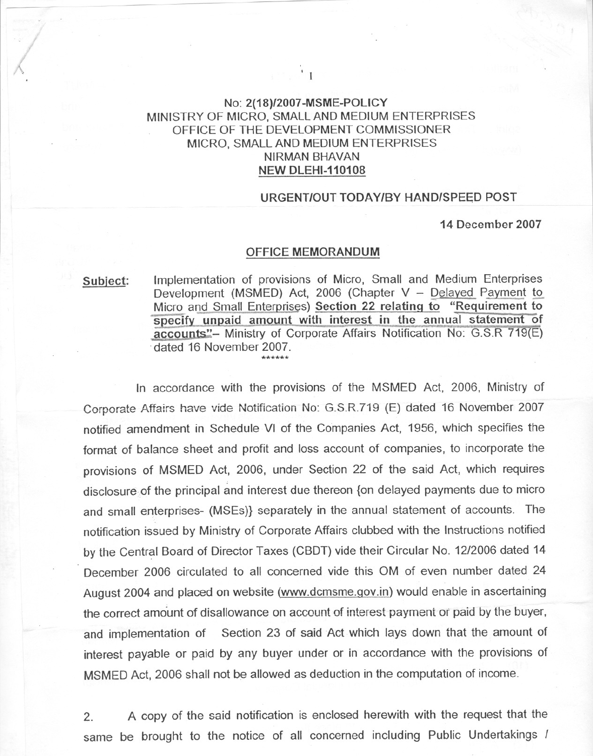## No: 2(18)12007-MSME-POLICY MINISTRY OF MICRO, SMALL AND MEDIUM ENTERPRISES OFFICE OF THE DEVELOPMENT COMMISSIONER MICRO, SMALL AND MEDIUM ENTERPRISES NIRMAN BHAVAN NEW DLEHI-110108

## URGENT/OUT TODAY/BY HAND/SPEED POST

14 December 2007

## OFFICE MEMORANDUM

Subject: Implementation of provisions of Micro, Small and Medium Enterprises Development (MSMED) Act, 2006 (Chapter  $V -$  Delayed Payment to Micro and Small Enterprises) Section 22 relating to "Requirement to specify unpaid amount with interest in the annual statement of accounts"- Ministry of Corporate Affairs Notification No: G.S.R 719(E) dated 16 November 2007.

In accordance with the provisions of the MSMED Act, 2006, Ministry of Corporate Affairs have vide Notification No: G.S.R.719 (E) dated 16 November 2007 notified amendment in Schedule VI of the Companies Act, 1956, which specifies the format of balance sheet and profit and loss account of companies, to incorporate the provisions of MSMED Act, 2006, under Section 22 of the said Act, which requires disclosure of the principal and interest due thereon {on delayed payments due to micro and small enterprises- (MSEs)} separately in the annual statement of accounts. The notification issued by Ministry of Corporate Affairs clubbed with the Instructions notified by the Central Board of Director Taxes (CBDT) vide their Circular No. 12/2006 dated 14 December 2006 circulated to all concerned vide this OM of even number dated 24 August 2004 and placed on website (www.dcmsme.gov.in) would enable in ascertaining the correct amount of disallowance on account of interest payment or paid by the buyer, and implementation of Section 23 of said Act which lays down that the amount of interest payable or paid by any buyer under or in accordance with the provisions of MSMED Act, 2006 shall not be allowed as deduction in the computation of income.

2. A copy of the said notification is enclosed herewith with the request that the same be brought to the notice of all concerned including Public Undertakings /